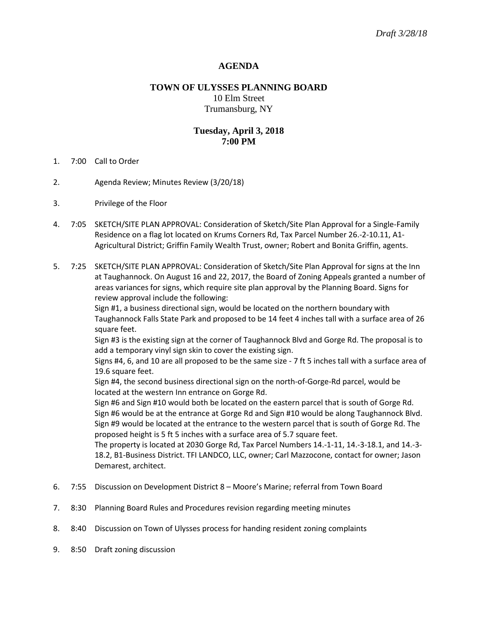## **AGENDA**

# **TOWN OF ULYSSES PLANNING BOARD** 10 Elm Street Trumansburg, NY

## **Tuesday, April 3, 2018 7:00 PM**

- 1. 7:00 Call to Order
- 2. Agenda Review; Minutes Review (3/20/18)
- 3. Privilege of the Floor
- 4. 7:05 SKETCH/SITE PLAN APPROVAL: Consideration of Sketch/Site Plan Approval for a Single-Family Residence on a flag lot located on Krums Corners Rd, Tax Parcel Number 26.-2-10.11, A1- Agricultural District; Griffin Family Wealth Trust, owner; Robert and Bonita Griffin, agents.
- 5. 7:25 SKETCH/SITE PLAN APPROVAL: Consideration of Sketch/Site Plan Approval for signs at the Inn at Taughannock. On August 16 and 22, 2017, the Board of Zoning Appeals granted a number of areas variances for signs, which require site plan approval by the Planning Board. Signs for review approval include the following:

Sign #1, a business directional sign, would be located on the northern boundary with Taughannock Falls State Park and proposed to be 14 feet 4 inches tall with a surface area of 26 square feet.

Sign #3 is the existing sign at the corner of Taughannock Blvd and Gorge Rd. The proposal is to add a temporary vinyl sign skin to cover the existing sign.

Signs #4, 6, and 10 are all proposed to be the same size - 7 ft 5 inches tall with a surface area of 19.6 square feet.

Sign #4, the second business directional sign on the north-of-Gorge-Rd parcel, would be located at the western Inn entrance on Gorge Rd.

Sign #6 and Sign #10 would both be located on the eastern parcel that is south of Gorge Rd. Sign #6 would be at the entrance at Gorge Rd and Sign #10 would be along Taughannock Blvd. Sign #9 would be located at the entrance to the western parcel that is south of Gorge Rd. The proposed height is 5 ft 5 inches with a surface area of 5.7 square feet.

The property is located at 2030 Gorge Rd, Tax Parcel Numbers 14.-1-11, 14.-3-18.1, and 14.-3- 18.2, B1-Business District. TFI LANDCO, LLC, owner; Carl Mazzocone, contact for owner; Jason Demarest, architect.

- 6. 7:55 Discussion on Development District 8 Moore's Marine; referral from Town Board
- 7. 8:30 Planning Board Rules and Procedures revision regarding meeting minutes
- 8. 8:40 Discussion on Town of Ulysses process for handing resident zoning complaints
- 9. 8:50 Draft zoning discussion